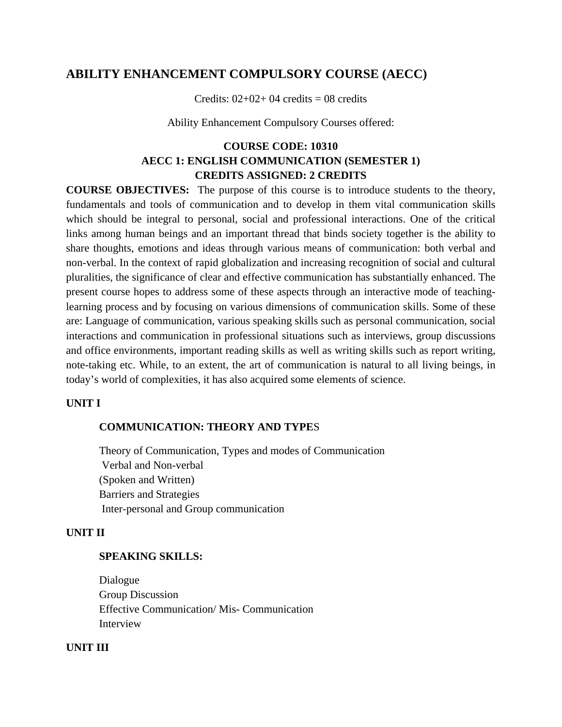# **ABILITY ENHANCEMENT COMPULSORY COURSE (AECC)**

Credits:  $02+02+04$  credits = 08 credits

Ability Enhancement Compulsory Courses offered:

# **COURSE CODE: 10310 AECC 1: ENGLISH COMMUNICATION (SEMESTER 1) CREDITS ASSIGNED: 2 CREDITS**

**COURSE OBJECTIVES:** The purpose of this course is to introduce students to the theory, fundamentals and tools of communication and to develop in them vital communication skills which should be integral to personal, social and professional interactions. One of the critical links among human beings and an important thread that binds society together is the ability to share thoughts, emotions and ideas through various means of communication: both verbal and non-verbal. In the context of rapid globalization and increasing recognition of social and cultural pluralities, the significance of clear and effective communication has substantially enhanced. The present course hopes to address some of these aspects through an interactive mode of teachinglearning process and by focusing on various dimensions of communication skills. Some of these are: Language of communication, various speaking skills such as personal communication, social interactions and communication in professional situations such as interviews, group discussions and office environments, important reading skills as well as writing skills such as report writing, note-taking etc. While, to an extent, the art of communication is natural to all living beings, in today's world of complexities, it has also acquired some elements of science.

#### **UNIT I**

# **COMMUNICATION: THEORY AND TYPE**S

Theory of Communication, Types and modes of Communication Verbal and Non-verbal (Spoken and Written) Barriers and Strategies Inter-personal and Group communication

#### **UNIT II**

# **SPEAKING SKILLS:**

Dialogue Group Discussion Effective Communication/ Mis- Communication Interview

#### **UNIT III**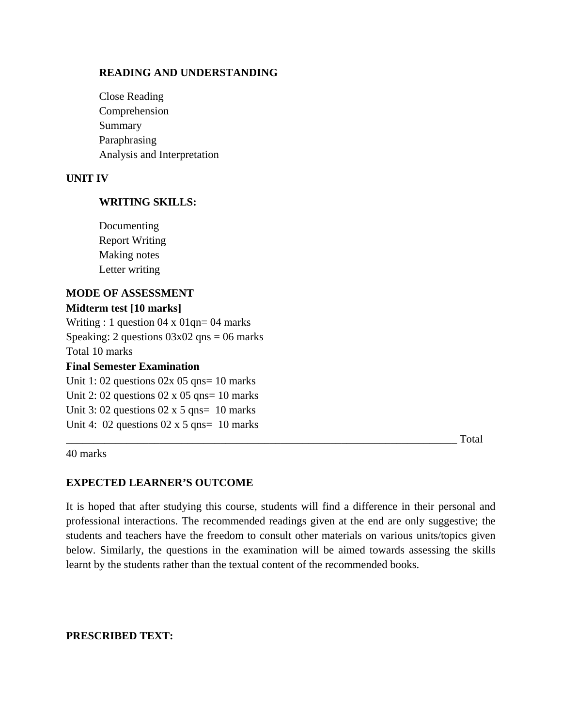## **READING AND UNDERSTANDING**

Close Reading Comprehension Summary Paraphrasing Analysis and Interpretation

#### **UNIT IV**

## **WRITING SKILLS:**

Documenting Report Writing Making notes Letter writing

# **MODE OF ASSESSMENT**

# **Midterm test [10 marks]**

Writing : 1 question 04 x 01qn= 04 marks Speaking: 2 questions  $03x02$  qns = 06 marks Total 10 marks

# **Final Semester Examination**

Unit 1: 02 questions  $02x$  05 qns= 10 marks Unit 2: 02 questions  $02 \times 05$  qns= 10 marks Unit 3: 02 questions  $02 \times 5$  qns= 10 marks Unit 4:  $02$  questions  $02 \times 5$  qns=  $10$  marks

40 marks

\_\_\_\_\_\_\_\_\_\_\_\_\_\_\_\_\_\_\_\_\_\_\_\_\_\_\_\_\_\_\_\_\_\_\_\_\_\_\_\_\_\_\_\_\_\_\_\_\_\_\_\_\_\_\_\_\_\_\_\_\_\_\_\_\_\_\_\_\_\_\_ Total

#### **EXPECTED LEARNER'S OUTCOME**

It is hoped that after studying this course, students will find a difference in their personal and professional interactions. The recommended readings given at the end are only suggestive; the students and teachers have the freedom to consult other materials on various units/topics given below. Similarly, the questions in the examination will be aimed towards assessing the skills learnt by the students rather than the textual content of the recommended books.

## **PRESCRIBED TEXT:**